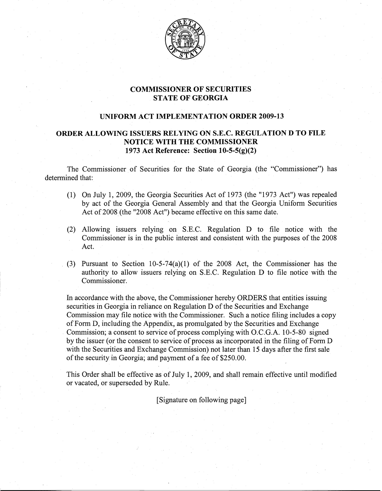

## COMMISSIONER OF SECURITIES STATE OF GEORGIA

#### UNIFORM ACT IMPLEMENTATION ORDER 2009-13

### ORDER ALLOWING ISSUERS RELYING ON S.E.C. REGULATION D TO FILE NOTICE WITH THE COMMISSIONER 1973 Act Reference: Section 10-5-5(g)(2)

The Commissioner of Securities for the State of Georgia (the "Commissioner") has determined that:

- (1)- On July 1,2009, the Georgia Securities Act of 1973 (the "1973 Act") was repealed by act of the Georgia General Assembly and that the Georgia Uniform Securities Act of 2008 (the "2008 Act") became effective on this same date.
- (2)- Allowing issuers relying on S.E.C. Regulation D to file notice with the Commissioner is in the public interest and consistent with the purposes of the 2008 Act.
- (3) Pursuant to Section  $10-5-74(a)(1)$  of the 2008 Act, the Commissioner has the authority to allow issuers relying on S.E.C. Regulation D to file notice with the Commissioner.

In accordance with the above, the Commissioner hereby ORDERS that entities issuing securities in Georgia in reliance on Regulation D of the Securities and Exchange Commission may file notice with the Commissioner. Such a notice filing includes a copy of Form D, including the Appendix, as promulgated by the Securities and Exchange . Commission; a consent to service of process complying with O.C.G.A. 10-5-80 signed by the issuer (or the consent to service of process as incorporated in the filing of Form D with the Securities and Exchange Commission) not later than 15 days after the first sale of the security in Georgia; and payment of a fee of \$250.00.

This Order shall be effective as of July 1, 2009, and shall remain effective until modified or vacated, or superseded by Rule.

[Signature on following page]